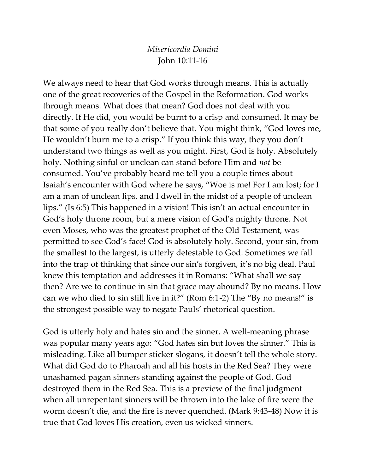## *Misericordia Domini* John 10:11-16

We always need to hear that God works through means. This is actually one of the great recoveries of the Gospel in the Reformation. God works through means. What does that mean? God does not deal with you directly. If He did, you would be burnt to a crisp and consumed. It may be that some of you really don't believe that. You might think, "God loves me, He wouldn't burn me to a crisp." If you think this way, they you don't understand two things as well as you might. First, God is holy. Absolutely holy. Nothing sinful or unclean can stand before Him and *not* be consumed. You've probably heard me tell you a couple times about Isaiah's encounter with God where he says, "Woe is me! For I am lost; for I am a man of unclean lips, and I dwell in the midst of a people of unclean lips." (Is 6:5) This happened in a vision! This isn't an actual encounter in God's holy throne room, but a mere vision of God's mighty throne. Not even Moses, who was the greatest prophet of the Old Testament, was permitted to see God's face! God is absolutely holy. Second, your sin, from the smallest to the largest, is utterly detestable to God. Sometimes we fall into the trap of thinking that since our sin's forgiven, it's no big deal. Paul knew this temptation and addresses it in Romans: "What shall we say then? Are we to continue in sin that grace may abound? By no means. How can we who died to sin still live in it?" (Rom 6:1-2) The "By no means!" is the strongest possible way to negate Pauls' rhetorical question.

God is utterly holy and hates sin and the sinner. A well-meaning phrase was popular many years ago: "God hates sin but loves the sinner." This is misleading. Like all bumper sticker slogans, it doesn't tell the whole story. What did God do to Pharoah and all his hosts in the Red Sea? They were unashamed pagan sinners standing against the people of God. God destroyed them in the Red Sea. This is a preview of the final judgment when all unrepentant sinners will be thrown into the lake of fire were the worm doesn't die, and the fire is never quenched. (Mark 9:43-48) Now it is true that God loves His creation, even us wicked sinners.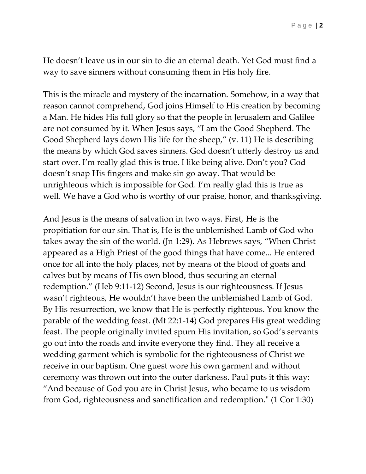He doesn't leave us in our sin to die an eternal death. Yet God must find a way to save sinners without consuming them in His holy fire.

This is the miracle and mystery of the incarnation. Somehow, in a way that reason cannot comprehend, God joins Himself to His creation by becoming a Man. He hides His full glory so that the people in Jerusalem and Galilee are not consumed by it. When Jesus says, "I am the Good Shepherd. The Good Shepherd lays down His life for the sheep," (v. 11) He is describing the means by which God saves sinners. God doesn't utterly destroy us and start over. I'm really glad this is true. I like being alive. Don't you? God doesn't snap His fingers and make sin go away. That would be unrighteous which is impossible for God. I'm really glad this is true as well. We have a God who is worthy of our praise, honor, and thanksgiving.

And Jesus is the means of salvation in two ways. First, He is the propitiation for our sin. That is, He is the unblemished Lamb of God who takes away the sin of the world. (Jn 1:29). As Hebrews says, "When Christ appeared as a High Priest of the good things that have come... He entered once for all into the holy places, not by means of the blood of goats and calves but by means of His own blood, thus securing an eternal redemption." (Heb 9:11-12) Second, Jesus is our righteousness. If Jesus wasn't righteous, He wouldn't have been the unblemished Lamb of God. By His resurrection, we know that He is perfectly righteous. You know the parable of the wedding feast. (Mt 22:1-14) God prepares His great wedding feast. The people originally invited spurn His invitation, so God's servants go out into the roads and invite everyone they find. They all receive a wedding garment which is symbolic for the righteousness of Christ we receive in our baptism. One guest wore his own garment and without ceremony was thrown out into the outer darkness. Paul puts it this way: "And because of God you are in Christ Jesus, who became to us wisdom from God, righteousness and sanctification and redemption." (1 Cor 1:30)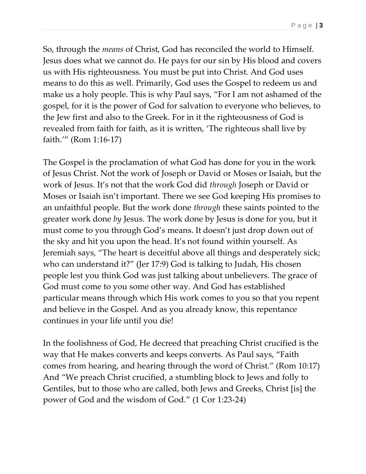So, through the *means* of Christ, God has reconciled the world to Himself. Jesus does what we cannot do. He pays for our sin by His blood and covers us with His righteousness. You must be put into Christ. And God uses means to do this as well. Primarily, God uses the Gospel to redeem us and make us a holy people. This is why Paul says, "For I am not ashamed of the gospel, for it is the power of God for salvation to everyone who believes, to the Jew first and also to the Greek. For in it the righteousness of God is revealed from faith for faith, as it is written, 'The righteous shall live by faith.'" (Rom 1:16-17)

The Gospel is the proclamation of what God has done for you in the work of Jesus Christ. Not the work of Joseph or David or Moses or Isaiah, but the work of Jesus. It's not that the work God did *through* Joseph or David or Moses or Isaiah isn't important. There we see God keeping His promises to an unfaithful people. But the work done *through* these saints pointed to the greater work done *by* Jesus. The work done by Jesus is done for you, but it must come to you through God's means. It doesn't just drop down out of the sky and hit you upon the head. It's not found within yourself. As Jeremiah says, "The heart is deceitful above all things and desperately sick; who can understand it?" (Jer 17:9) God is talking to Judah, His chosen people lest you think God was just talking about unbelievers. The grace of God must come to you some other way. And God has established particular means through which His work comes to you so that you repent and believe in the Gospel. And as you already know, this repentance continues in your life until you die!

In the foolishness of God, He decreed that preaching Christ crucified is the way that He makes converts and keeps converts. As Paul says, "Faith comes from hearing, and hearing through the word of Christ." (Rom 10:17) And "We preach Christ crucified, a stumbling block to Jews and folly to Gentiles, but to those who are called, both Jews and Greeks, Christ [is] the power of God and the wisdom of God." (1 Cor 1:23-24)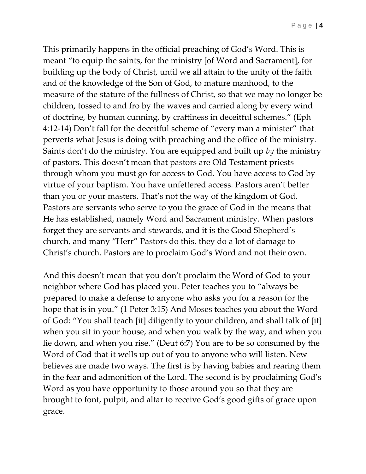This primarily happens in the official preaching of God's Word. This is meant "to equip the saints, for the ministry [of Word and Sacrament], for building up the body of Christ, until we all attain to the unity of the faith and of the knowledge of the Son of God, to mature manhood, to the measure of the stature of the fullness of Christ, so that we may no longer be children, tossed to and fro by the waves and carried along by every wind of doctrine, by human cunning, by craftiness in deceitful schemes." (Eph 4:12-14) Don't fall for the deceitful scheme of "every man a minister" that perverts what Jesus is doing with preaching and the office of the ministry. Saints don't do the ministry. You are equipped and built up *by* the ministry of pastors. This doesn't mean that pastors are Old Testament priests through whom you must go for access to God. You have access to God by virtue of your baptism. You have unfettered access. Pastors aren't better than you or your masters. That's not the way of the kingdom of God. Pastors are servants who serve to you the grace of God in the means that He has established, namely Word and Sacrament ministry. When pastors forget they are servants and stewards, and it is the Good Shepherd's church, and many "Herr" Pastors do this, they do a lot of damage to Christ's church. Pastors are to proclaim God's Word and not their own.

And this doesn't mean that you don't proclaim the Word of God to your neighbor where God has placed you. Peter teaches you to "always be prepared to make a defense to anyone who asks you for a reason for the hope that is in you." (1 Peter 3:15) And Moses teaches you about the Word of God: "You shall teach [it] diligently to your children, and shall talk of [it] when you sit in your house, and when you walk by the way, and when you lie down, and when you rise." (Deut 6:7) You are to be so consumed by the Word of God that it wells up out of you to anyone who will listen. New believes are made two ways. The first is by having babies and rearing them in the fear and admonition of the Lord. The second is by proclaiming God's Word as you have opportunity to those around you so that they are brought to font, pulpit, and altar to receive God's good gifts of grace upon grace.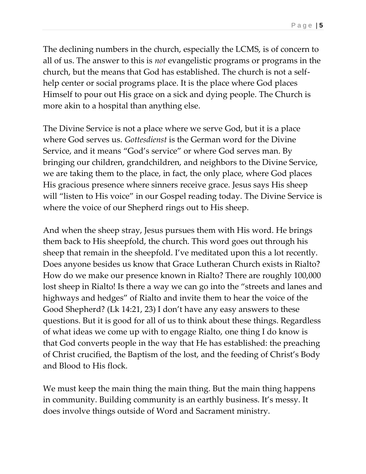The declining numbers in the church, especially the LCMS, is of concern to all of us. The answer to this is *not* evangelistic programs or programs in the church, but the means that God has established. The church is not a selfhelp center or social programs place. It is the place where God places Himself to pour out His grace on a sick and dying people. The Church is more akin to a hospital than anything else.

The Divine Service is not a place where we serve God, but it is a place where God serves us. *Gottesdienst* is the German word for the Divine Service, and it means "God's service" or where God serves man. By bringing our children, grandchildren, and neighbors to the Divine Service, we are taking them to the place, in fact, the only place, where God places His gracious presence where sinners receive grace. Jesus says His sheep will "listen to His voice" in our Gospel reading today. The Divine Service is where the voice of our Shepherd rings out to His sheep.

And when the sheep stray, Jesus pursues them with His word. He brings them back to His sheepfold, the church. This word goes out through his sheep that remain in the sheepfold. I've meditated upon this a lot recently. Does anyone besides us know that Grace Lutheran Church exists in Rialto? How do we make our presence known in Rialto? There are roughly 100,000 lost sheep in Rialto! Is there a way we can go into the "streets and lanes and highways and hedges" of Rialto and invite them to hear the voice of the Good Shepherd? (Lk 14:21, 23) I don't have any easy answers to these questions. But it is good for all of us to think about these things. Regardless of what ideas we come up with to engage Rialto, one thing I do know is that God converts people in the way that He has established: the preaching of Christ crucified, the Baptism of the lost, and the feeding of Christ's Body and Blood to His flock.

We must keep the main thing the main thing. But the main thing happens in community. Building community is an earthly business. It's messy. It does involve things outside of Word and Sacrament ministry.